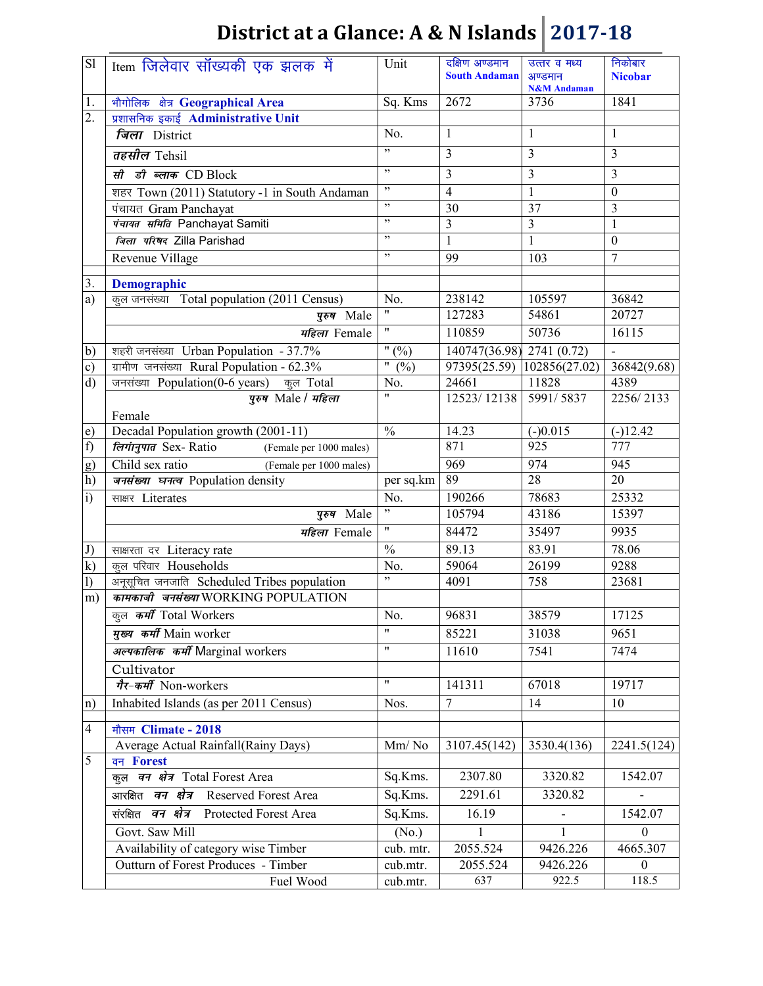| S1             | Item जिलेवार सॉख्यकी एक झलक में                       | Unit                     | दक्षिण अण्डमान<br><b>South Andaman</b> | उत्तर व मध्य<br>अण्डमान<br><b>N&amp;M</b> Andaman | निकोबार<br><b>Nicobar</b> |
|----------------|-------------------------------------------------------|--------------------------|----------------------------------------|---------------------------------------------------|---------------------------|
| 1.             | भौगोलिक क्षेत्र Geographical Area                     | Sq. Kms                  | 2672                                   | 3736                                              | 1841                      |
| 2.             | प्रशासनिक इकाई Administrative Unit                    |                          |                                        |                                                   |                           |
|                | जिला District                                         | No.                      | $\mathbf{1}$                           | $\mathbf{1}$                                      | 1                         |
|                | तहसील Tehsil                                          | , 2                      | 3                                      | 3                                                 | $\overline{3}$            |
|                | सी डी ब्लाक CD Block                                  | , 2                      | $\mathfrak{Z}$                         | $\overline{3}$                                    | 3                         |
|                | शहर Town (2011) Statutory -1 in South Andaman         | $, \,$                   | $\overline{4}$                         | $\mathbf{1}$                                      | $\boldsymbol{0}$          |
|                | पंचायत Gram Panchayat                                 | $, ,$                    | 30                                     | $\overline{37}$                                   | 3                         |
|                | पंचायत समिति Panchayat Samiti                         | , ,                      | $\overline{\mathbf{3}}$                | $\overline{3}$                                    | $\mathbf{1}$              |
|                | जिला परिषद Zilla Parishad                             | ,                        | $\mathbf{1}$                           | $\mathbf{1}$                                      | $\boldsymbol{0}$          |
|                | Revenue Village                                       | ,,                       | 99                                     | 103                                               | $\overline{7}$            |
|                |                                                       |                          |                                        |                                                   |                           |
| 3.             | <b>Demographic</b>                                    |                          |                                        |                                                   |                           |
| a)             | कूल जनसंख्या Total population (2011 Census)           | No.                      | 238142                                 | 105597                                            | 36842                     |
|                | पुरुष Male                                            |                          | 127283                                 | 54861                                             | 20727                     |
|                | महिला Female                                          | $\pmb{\mathsf{H}}$       | 110859                                 | 50736                                             | 16115                     |
| b)             | शहरी जनसंख्या Urban Population - 37.7%                | " $(%)$                  | 140747(36.98) 2741 (0.72)              |                                                   |                           |
| c)             | ग्रामीण जनसंख्या Rural Population - 62.3%             | $^{\prime\prime}$<br>(%) | 97395(25.59)                           | 102856(27.02)                                     | 36842(9.68)               |
| $\mathbf{d}$   | जनसंख्या Population(0-6 years)<br>कूल Total           | No.                      | 24661                                  | 11828                                             | 4389                      |
|                | पुरुष Male / महिला                                    | $\pmb{\mathsf{H}}$       | 12523/12138                            | 5991/5837                                         | 2256/2133                 |
|                | Female                                                |                          |                                        |                                                   |                           |
| e)             | Decadal Population growth (2001-11)                   | $\overline{\frac{0}{0}}$ | 14.23                                  | $(-)0.015$                                        | $\overline{(-)12.42}$     |
| f)             | <i>लिगानुपात Sex-Ratio</i><br>(Female per 1000 males) |                          | 871                                    | 925                                               | 777                       |
| g)             | Child sex ratio<br>(Female per 1000 males)            |                          | 969                                    | 974                                               | 945                       |
| h)             | जनसंख्या घनत्व Population density                     | per sq.km                | 89                                     | $\overline{28}$                                   | 20                        |
| $\ddot{i}$     | साक्षर Literates                                      | No.                      | 190266                                 | 78683                                             | 25332                     |
|                | पुरुष Male                                            | ,                        | 105794                                 | 43186                                             | 15397                     |
|                | महिला Female                                          | $\pmb{\mathsf{H}}$       | 84472                                  | 35497                                             | 9935                      |
| J)             | साक्षरता दर Literacy rate                             | $\frac{0}{0}$            | 89.13                                  | 83.91                                             | 78.06                     |
| $\bf k)$       | कूल परिवार Households                                 | No.                      | 59064                                  | 26199                                             | 9288                      |
| $\mathbf{I}$   | अनूसूचित जनजाति Scheduled Tribes population           | ,                        | 4091                                   | 758                                               | 23681                     |
| m)             | कामकाजी जनसंख्या WORKING POPULATION                   |                          |                                        |                                                   |                           |
|                | कुल कर्मी Total Workers                               | No.                      | 96831                                  | 38579                                             | 17125                     |
|                | मुख्य कर्मी Main worker                               | 11                       | 85221                                  | 31038                                             | 9651                      |
|                | अल्पकालिक कर्मी Marginal workers                      | $^{\prime\prime}$        | 11610                                  | 7541                                              | 7474                      |
|                | Cultivator                                            |                          |                                        |                                                   |                           |
|                | गैर-कर्मी Non-workers                                 | $\overline{\mathbf{u}}$  | 141311                                 | 67018                                             | 19717                     |
| $\ln$          | Inhabited Islands (as per 2011 Census)                | Nos.                     | $\overline{7}$                         | 14                                                | 10                        |
|                |                                                       |                          |                                        |                                                   |                           |
| $\overline{4}$ | मौसम Climate - 2018                                   |                          |                                        |                                                   |                           |
|                | Average Actual Rainfall(Rainy Days)                   | Mm/No                    | 3107.45(142)                           | 3530.4(136)                                       | 2241.5(124)               |
| 5              | वन Forest                                             |                          |                                        |                                                   |                           |
|                | कुल वन क्षेत्र Total Forest Area                      | Sq.Kms.                  | 2307.80                                | 3320.82                                           | 1542.07                   |
|                | आरक्षित वन क्षेत्र Reserved Forest Area               | Sq.Kms.                  | 2291.61                                | 3320.82                                           |                           |
|                | संरक्षित वन क्षेत्र Protected Forest Area             | Sq.Kms.                  | 16.19                                  |                                                   | 1542.07                   |
|                | Govt. Saw Mill                                        | (No.)                    |                                        | 1                                                 | $\theta$                  |
|                | Availability of category wise Timber                  | cub. mtr.                | 2055.524                               | 9426.226                                          | 4665.307                  |
|                | Outturn of Forest Produces - Timber                   | cub.mtr.                 | 2055.524                               | 9426.226                                          | $\theta$                  |
|                | Fuel Wood                                             | cub.mtr.                 | 637                                    | $\overline{922.5}$                                | 118.5                     |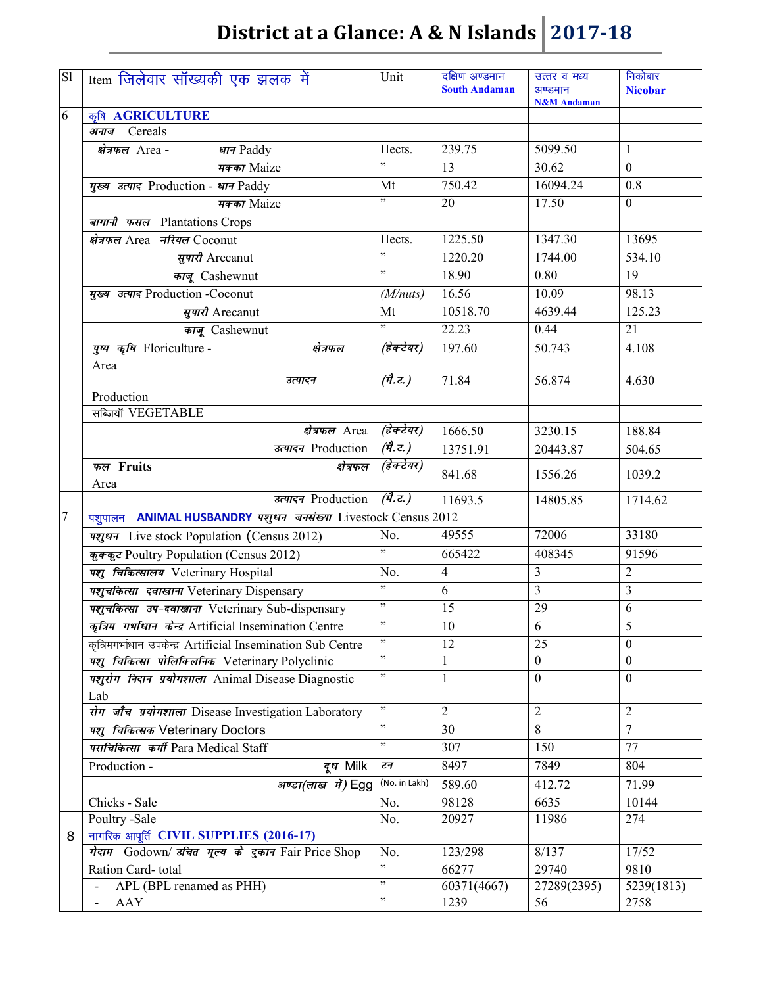| <b>Sl</b>      | Item जिलेवार सॉख्यकी एक झलक में                               | Unit                 | दक्षिण अण्डमान<br><b>South Andaman</b> | उत्तर व मध्य<br>अण्डमान<br><b>N&amp;M</b> Andaman | निकोबार<br><b>Nicobar</b> |
|----------------|---------------------------------------------------------------|----------------------|----------------------------------------|---------------------------------------------------|---------------------------|
| 6              | कृषि AGRICULTURE                                              |                      |                                        |                                                   |                           |
|                | अनाज Cereals                                                  |                      |                                        |                                                   |                           |
|                | क्षेत्रफल Area-<br>धान Paddy                                  | Hects.               | 239.75                                 | 5099.50                                           | $\mathbf{1}$              |
|                | मक्का Maize                                                   | , 2                  | 13                                     | 30.62                                             | $\mathbf{0}$              |
|                | मुख्य उत्पाद Production - धान Paddy                           | Mt                   | 750.42                                 | 16094.24                                          | 0.8                       |
|                | मक्का Maize                                                   | , 1                  | 20                                     | 17.50                                             | $\boldsymbol{0}$          |
|                | बागानी फसल Plantations Crops                                  |                      |                                        |                                                   |                           |
|                | क्षेत्रफल Area नरियल Coconut                                  | Hects.               | 1225.50                                | 1347.30                                           | 13695                     |
|                | सुपारी Arecanut                                               | , ,                  | 1220.20                                | 1744.00                                           | 534.10                    |
|                | काजू Cashewnut                                                | , ,                  | 18.90                                  | 0.80                                              | 19                        |
|                | मुख्य उत्पाद Production -Coconut                              | (M/nuts)             | 16.56                                  | 10.09                                             | 98.13                     |
|                | सुपारी Arecanut                                               | Mt                   | 10518.70                               | 4639.44                                           | 125.23                    |
|                | काजू Cashewnut                                                | , ,                  | 22.23                                  | 0.44                                              | 21                        |
|                | पुष्प कृषि Floriculture -<br>क्षेत्रफल                        | (हेक्टेयर)           | 197.60                                 | 50.743                                            | 4.108                     |
|                | Area                                                          |                      |                                        |                                                   |                           |
|                | उत्पादन                                                       | $(\vec{q},\vec{z})$  | 71.84                                  | 56.874                                            | 4.630                     |
|                | Production<br>सब्जियाँ VEGETABLE                              |                      |                                        |                                                   |                           |
|                | क्षेत्रफल Area                                                | (हेक्टेयर)           | 1666.50                                | 3230.15                                           | 188.84                    |
|                | उत्पादन Production                                            | (मै.ट.)              | 13751.91                               | 20443.87                                          | 504.65                    |
|                | फल Fruits<br>क्षेत्रफल<br>Area                                | (हेक्टेयर)           | 841.68                                 | 1556.26                                           | 1039.2                    |
|                | उत्पादन Production                                            | $(\vec{q}, \vec{c})$ | 11693.5                                | 14805.85                                          | 1714.62                   |
| $\overline{7}$ | पशुपालन ANIMAL HUSBANDRY पशुधन जनसंख्या Livestock Census 2012 |                      |                                        |                                                   |                           |
|                | <i>पशुधन</i> Live stock Population (Census 2012)              | No.                  | 49555                                  | 72006                                             | 33180                     |
|                | कुक्कुट Poultry Population (Census 2012)                      | , 1                  | 665422                                 | 408345                                            | 91596                     |
|                | पशु चिकित्सालय Veterinary Hospital                            | No.                  | $\overline{4}$                         | 3                                                 | $\overline{2}$            |
|                | पशुचकित्सा दवाखाना Veterinary Dispensary                      | ,                    | 6                                      | 3                                                 | 3                         |
|                | पशुचकित्सा उप-दवाखाना Veterinary Sub-dispensary               | $, ,$                | 15                                     | 29                                                | 6                         |
|                | कृत्रिम गर्भाधान केन्द्र Artificial Insemination Centre       | , 2                  | $\overline{10}$                        | 6                                                 | 5                         |
|                | कुत्रिमगर्भाधान उपकेन्द्र Artificial Insemination Sub Centre  | $, \,$               | 12                                     | 25                                                | $\theta$                  |
|                | पशु चिकित्सा पोलिक्लिनिक Veterinary Polyclinic                | , ,                  | 1                                      | $\overline{0}$                                    | $\mathbf{0}$              |
|                | पशुरोग निदान प्रयोगशाला Animal Disease Diagnostic             | , 2, 3               | $\mathbf{1}$                           | $\boldsymbol{0}$                                  | $\boldsymbol{0}$          |
|                | Lab<br>रोग जाँच प्रयोगशाला Disease Investigation Laboratory   | , 2, 3               | 2                                      | 2                                                 | $\overline{2}$            |
|                | पशु चिकित्सक Veterinary Doctors                               | , 2, 3               | 30                                     | 8                                                 | $\overline{7}$            |
|                | पराचिकित्सा कर्मी Para Medical Staff                          | , 2, 3               | 307                                    | 150                                               | 77                        |
|                | Production -<br>दू <i>ध</i> Milk                              | टन                   | 8497                                   | 7849                                              | 804                       |
|                |                                                               | (No. in Lakh)        | 589.60                                 | 412.72                                            | 71.99                     |
|                | अण्डा(लाख में) Egg<br>Chicks - Sale                           | No.                  | 98128                                  | 6635                                              | 10144                     |
|                | Poultry -Sale                                                 | No.                  | 20927                                  | 11986                                             | 274                       |
| 8              | नागरिक आपूर्ति CIVIL SUPPLIES (2016-17)                       |                      |                                        |                                                   |                           |
|                | गेदाम Godown/ उचित मूल्य के दुकान Fair Price Shop             | No.                  | 123/298                                | 8/137                                             | 17/52                     |
|                | Ration Card-total                                             | , ,                  | 66277                                  | 29740                                             | 9810                      |
|                | APL (BPL renamed as PHH)                                      | , 2, 3               | 60371(4667)                            | 27289(2395)                                       | 5239(1813)                |
|                | <b>AAY</b><br>$\overline{\phantom{a}}$                        | ,                    | 1239                                   | 56                                                | 2758                      |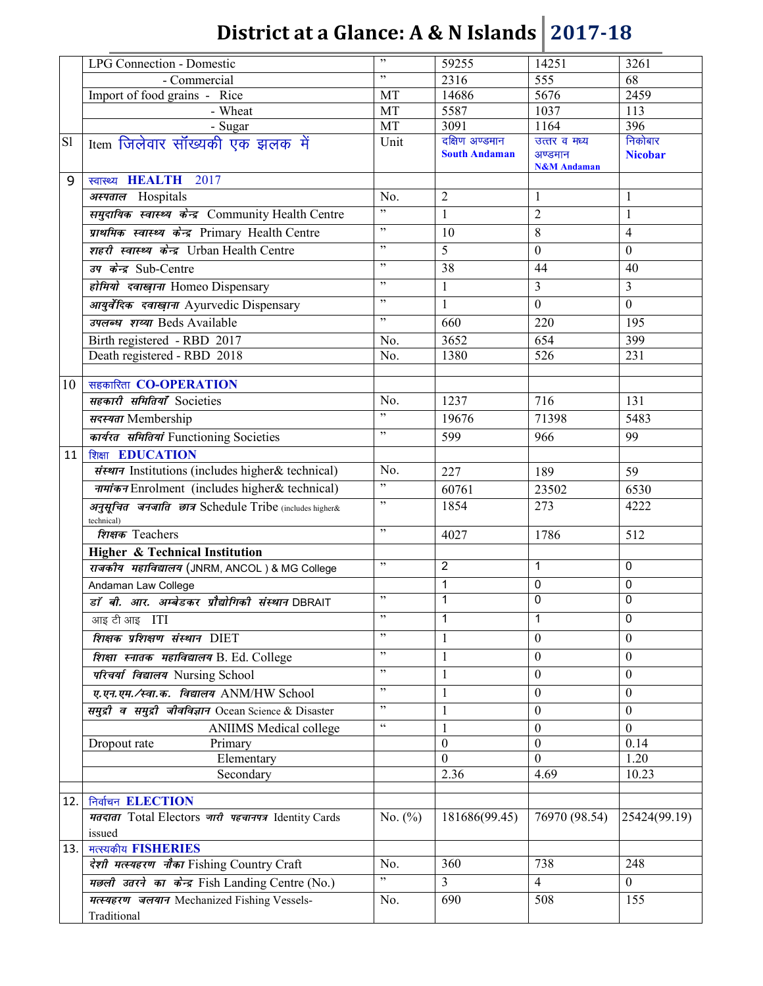|      | <b>LPG Connection - Domestic</b>                                     | $, ,$                    | 59255                                  | 14251                                | 3261                    |
|------|----------------------------------------------------------------------|--------------------------|----------------------------------------|--------------------------------------|-------------------------|
|      | - Commercial                                                         | , 2                      | 2316                                   | 555                                  | 68                      |
|      | Import of food grains - Rice                                         | MT                       | 14686                                  | 5676                                 | 2459                    |
|      | - Wheat                                                              | MT                       | 5587                                   | 1037                                 | 113                     |
|      | - Sugar                                                              | MT                       | 3091                                   | 1164                                 | 396                     |
| S1   | Item जिलेवार सॉख्यकी एक झलक में                                      | Unit                     | दक्षिण अण्डमान<br><b>South Andaman</b> | उत्तर व मध्य                         | निकोबार                 |
|      |                                                                      |                          |                                        | अण्डमान<br><b>N&amp;M</b> Andaman    | <b>Nicobar</b>          |
| 9    | स्वास्थ्य <b>HEALTH</b><br>2017                                      |                          |                                        |                                      |                         |
|      | अस्पताल Hospitals                                                    | No.                      | $\overline{2}$                         | $\mathbf{1}$                         | $\mathbf{1}$            |
|      | समुदायिक स्वास्थ्य केन्द्र Community Health Centre                   | $\overline{\phantom{0}}$ | 1                                      | $\overline{2}$                       | $\mathbf{1}$            |
|      | प्राथमिक स्वास्थ्य केन्द्र Primary Health Centre                     | , 0                      | 10                                     | 8                                    | $\overline{4}$          |
|      | शहरी स्वास्थ्य केन्द्र Urban Health Centre                           | , 2, 3                   | 5                                      | $\boldsymbol{0}$                     | $\mathbf{0}$            |
|      | उप केन्द्र Sub-Centre                                                | , 2, 3                   | 38                                     | 44                                   | 40                      |
|      |                                                                      | , 0                      |                                        | 3                                    | $\overline{\mathbf{3}}$ |
|      | होमियो दवाखाना Homeo Dispensary                                      | , 2, 3                   | $\mathbf{1}$                           |                                      |                         |
|      | आयुर्वेदिक दवाखाना Ayurvedic Dispensary                              |                          | 1                                      | $\boldsymbol{0}$                     | $\boldsymbol{0}$        |
|      | उपलब्ध शय्या Beds Available                                          | $, ,$                    | 660                                    | 220                                  | 195                     |
|      | Birth registered - RBD 2017                                          | No.                      | 3652                                   | 654                                  | 399                     |
|      | Death registered - RBD 2018                                          | No.                      | 1380                                   | 526                                  | 231                     |
| 10   | सहकारिता CO-OPERATION                                                |                          |                                        |                                      |                         |
|      | सहकारी समितियाँ Societies                                            | No.                      | 1237                                   | 716                                  | 131                     |
|      |                                                                      | , 0                      |                                        |                                      |                         |
|      | सदस्यता Membership                                                   | , ,                      | 19676                                  | 71398                                | 5483                    |
|      | कार्यरत समितियां Functioning Societies                               |                          | 599                                    | 966                                  | 99                      |
| 11   | शिक्षा EDUCATION                                                     |                          |                                        |                                      |                         |
|      | संस्थान Institutions (includes higher& technical)                    | No.                      | 227                                    | 189                                  | 59                      |
|      | नामांकन Enrolment (includes higher & technical)                      | ,                        | 60761                                  | 23502                                | 6530                    |
|      | अनुसूचित जनजाति छात्र Schedule Tribe (includes higher&<br>technical) | ,                        | 1854                                   | 273                                  | 4222                    |
|      | शिक्षक Teachers                                                      | ,                        | 4027                                   | 1786                                 | 512                     |
|      | <b>Higher &amp; Technical Institution</b>                            |                          |                                        |                                      |                         |
|      | राजकीय महाविद्यालय (JNRM, ANCOL) & MG College                        | , 2, 3                   | $\overline{2}$                         | 1                                    | $\pmb{0}$               |
|      | Andaman Law College                                                  |                          | 1                                      | 0                                    | $\mathbf 0$             |
|      | डॉ बी. आर. अम्बेडकर प्रौद्योगिकी संस्थान DBRAIT                      | $, ,$                    | 1                                      | $\pmb{0}$                            | $\overline{0}$          |
|      | आइ टी आइ ITI                                                         | $, ,$                    | 1                                      | 1                                    | $\mathbf 0$             |
|      | शिक्षक प्रशिक्षण संस्थान DIET                                        | ,                        | 1                                      | $\mathbf{0}$                         | $\mathbf{0}$            |
|      | शिक्षा स्नातक महाविद्यालय B. Ed. College                             | $, ,$                    | 1                                      | $\mathbf{0}$                         | $\boldsymbol{0}$        |
|      | परिचर्या विद्यालय Nursing School                                     | ,                        | $\mathbf{1}$                           | $\overline{0}$                       | $\mathbf{0}$            |
|      | ए.एन.एम./स्वा.क. विद्यालय ANM/HW School                              | $, ,$                    | 1                                      | $\boldsymbol{0}$                     | $\theta$                |
|      |                                                                      | , 2, 3                   |                                        |                                      |                         |
|      | समुद्री व समुद्री जीवविज्ञान Ocean Science & Disaster                | $\zeta\,\zeta$           | 1                                      | $\mathbf{0}$                         | $\boldsymbol{0}$        |
|      | <b>ANIIMS</b> Medical college<br>Dropout rate<br>Primary             |                          | 1<br>$\boldsymbol{0}$                  | $\boldsymbol{0}$<br>$\boldsymbol{0}$ | $\mathbf{0}$<br>0.14    |
|      | Elementary                                                           |                          | $\boldsymbol{0}$                       | $\boldsymbol{0}$                     | 1.20                    |
|      | Secondary                                                            |                          | 2.36                                   | 4.69                                 | 10.23                   |
|      |                                                                      |                          |                                        |                                      |                         |
| 12.  | निर्वाचन ELECTION                                                    |                          |                                        |                                      |                         |
|      | मतदाता Total Electors जारी पहचानपत्र Identity Cards                  | No. $(\% )$              | 181686(99.45)                          | 76970 (98.54)                        | 25424(99.19)            |
|      | issued                                                               |                          |                                        |                                      |                         |
| 13.1 | मत्स्यकीय FISHERIES                                                  |                          |                                        |                                      |                         |
|      | देशी मत्स्यहरण नौका Fishing Country Craft                            | No.                      | 360                                    | 738                                  | 248                     |
|      | मछली उतरने का केन्द्र Fish Landing Centre (No.)                      | , ,                      | 3                                      | $\overline{4}$                       | $\mathbf{0}$            |
|      | मत्स्यहरण जलयान Mechanized Fishing Vessels-                          | No.                      | 690                                    | 508                                  | 155                     |
|      | Traditional                                                          |                          |                                        |                                      |                         |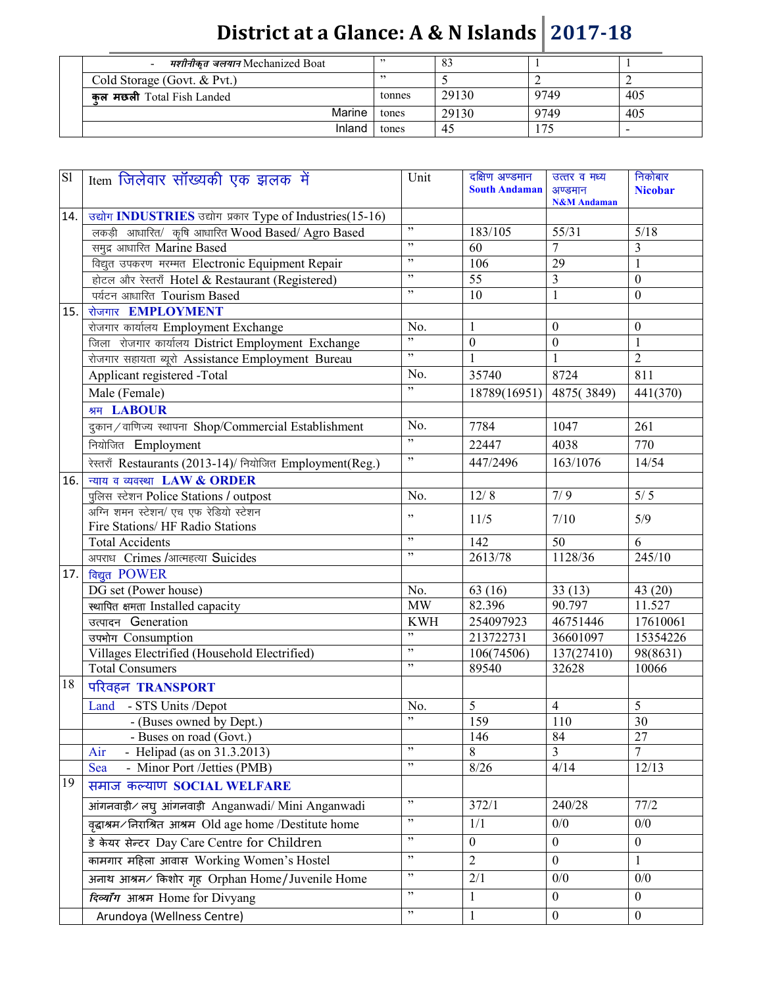| मशीनीकृत जलयान Mechanized Boat |        | 83    |                |     |
|--------------------------------|--------|-------|----------------|-----|
| Cold Storage (Govt. & Pvt.)    |        |       |                |     |
| कल मछली Total Fish Landed      | tonnes | 29130 | 9749           | 405 |
| Marine                         | tones  | 29130 | 9749           | 405 |
| Inland                         | tones  |       | 7 <sup>4</sup> |     |

| $\overline{sl}$ | Item जिलेवार सॉख्यकी एक झलक में                           | Unit                                     | दक्षिण अण्डमान<br><b>South Andaman</b> | उत्तर व मध्य<br>अण्डमान<br><b>N&amp;M</b> Andaman | निकोबार<br><b>Nicobar</b> |
|-----------------|-----------------------------------------------------------|------------------------------------------|----------------------------------------|---------------------------------------------------|---------------------------|
| 14.             | उद्योग INDUSTRIES उद्योग प्रकार Type of Industries(15-16) |                                          |                                        |                                                   |                           |
|                 | लकड़ी आधारित/ कृषि आधारित Wood Based/ Agro Based          | ,                                        | 183/105                                | 55/31                                             | $5/18$                    |
|                 | समुद्र आधारित Marine Based                                | , 2, 3                                   | 60                                     | 7                                                 | 3                         |
|                 | विद्युत उपकरण मरम्मत Electronic Equipment Repair          | $, ,$                                    | 106                                    | 29                                                | $\mathbf{1}$              |
|                 | होटल और रेस्तराँ Hotel & Restaurant (Registered)          | , 2, 3                                   | 55                                     | $\overline{3}$                                    | $\boldsymbol{0}$          |
|                 | पर्यटन आधारित Tourism Based                               | , 2, 3                                   | 10                                     | $\mathbf{1}$                                      | $\boldsymbol{0}$          |
| 15.             | रोजगार EMPLOYMENT                                         |                                          |                                        |                                                   |                           |
|                 | रोजगार कार्यालय Employment Exchange                       | No.<br>,                                 | $\mathbf{1}$                           | $\theta$                                          | $\theta$                  |
|                 | जिला रोजगार कार्यालय District Employment Exchange         | , ,                                      | $\boldsymbol{0}$                       | $\boldsymbol{0}$                                  | 1                         |
|                 | रोजगार सहायता ब्यूरो Assistance Employment Bureau         |                                          |                                        |                                                   | $\overline{2}$            |
|                 | Applicant registered -Total                               | No.                                      | 35740                                  | 8724                                              | 811                       |
|                 | Male (Female)                                             | , 2, 3                                   | 18789(16951)                           | 4875(3849)                                        | 441(370)                  |
|                 | श्रम LABOUR                                               |                                          |                                        |                                                   |                           |
|                 | दुकान / वाणिज्य स्थापना Shop/Commercial Establishment     | No.                                      | 7784                                   | 1047                                              | 261                       |
|                 | नियोजित Employment                                        | ,                                        | 22447                                  | 4038                                              | 770                       |
|                 | रेस्तराँ Restaurants (2013-14)/ नियोजित Employment(Reg.)  | , 2, 3                                   | 447/2496                               | 163/1076                                          | 14/54                     |
| 16.             | न्याय व व्यवस्था LAW & ORDER                              |                                          |                                        |                                                   |                           |
|                 | पुलिस स्टेशन Police Stations / outpost                    | No.                                      | 12/8                                   | 7/9                                               | $5/5$                     |
|                 | अग्नि शमन स्टेशन/ एच एफ रेडियो स्टेशन                     | $, ,$                                    | 11/5                                   | 7/10                                              | 5/9                       |
|                 | Fire Stations/ HF Radio Stations                          |                                          |                                        |                                                   |                           |
|                 | <b>Total Accidents</b>                                    | , 2, 3                                   | 142                                    | 50                                                | 6                         |
|                 | अपराध Crimes /आत्महत्या Suicides                          | , 2, 3                                   | $261\overline{3/78}$                   | 1128/36                                           | 245/10                    |
| 17.             | विद्युत POWER                                             |                                          |                                        |                                                   |                           |
|                 | DG set (Power house)                                      | No.                                      | 63 (16)                                | 33(13)                                            | 43(20)                    |
|                 | स्थापित क्षमता Installed capacity                         | <b>MW</b>                                | 82.396                                 | 90.797                                            | 11.527                    |
|                 | उत्पादन Generation                                        | <b>KWH</b><br>,                          | 254097923                              | 46751446                                          | 17610061                  |
|                 | उपभोग Consumption                                         | , 2, 3                                   | 213722731                              | 36601097                                          | 15354226                  |
|                 | Villages Electrified (Household Electrified)              | , 2, 3                                   | 106(74506)                             | 137(27410)                                        | 98(8631)                  |
|                 | <b>Total Consumers</b>                                    |                                          | 89540                                  | 32628                                             | 10066                     |
| 18              | परिवहन TRANSPORT                                          |                                          |                                        |                                                   |                           |
|                 | Land - STS Units /Depot                                   | No.                                      | 5                                      | $\overline{4}$                                    | 5                         |
|                 | - (Buses owned by Dept.)                                  | $\overline{\phantom{a}}$                 | 159                                    | 110                                               | 30                        |
|                 | - Buses on road (Govt.)                                   |                                          | 146                                    | 84                                                | 27                        |
|                 | - Helipad (as on $31.3.2013$ )<br>Air                     | $\overline{\phantom{a}}$<br>$\mathbf{z}$ | 8                                      | 3                                                 | 7                         |
|                 | - Minor Port /Jetties (PMB)<br>Sea                        |                                          | 8/26                                   | 4/14                                              | 12/13                     |
| 19              | समाज कल्याण SOCIAL WELFARE                                |                                          |                                        |                                                   |                           |
|                 | आंगनवाड़ी / लघु आंगनवाड़ी Anganwadi/ Mini Anganwadi       | $\overline{\phantom{a}}$                 | 372/1                                  | 240/28                                            | 77/2                      |
|                 | वृद्धाश्रम/निराश्रित आश्रम Old age home /Destitute home   | , 2, 3                                   | 1/1                                    | 0/0                                               | 0/0                       |
|                 | डे केयर सेन्टर Day Care Centre for Children               | $, 0$                                    | $\boldsymbol{0}$                       | $\mathbf{0}$                                      | $\boldsymbol{0}$          |
|                 | कामगार महिला आवास Working Women's Hostel                  | $\mathbf{z}$                             | $\overline{2}$                         | $\boldsymbol{0}$                                  | 1                         |
|                 | अनाथ आश्रम⁄ किशोर गृह Orphan Home/Juvenile Home           | $\mathbf{z}$                             | 2/1                                    | 0/0                                               | 0/0                       |
|                 | दिव्याँग आश्रम Home for Divyang                           | $\mathbf{z}$                             | $\mathbf{1}$                           | $\boldsymbol{0}$                                  | $\boldsymbol{0}$          |
|                 | Arundoya (Wellness Centre)                                | $\mathbf{z}$                             | $\mathbf{1}$                           | $\boldsymbol{0}$                                  | $\overline{0}$            |